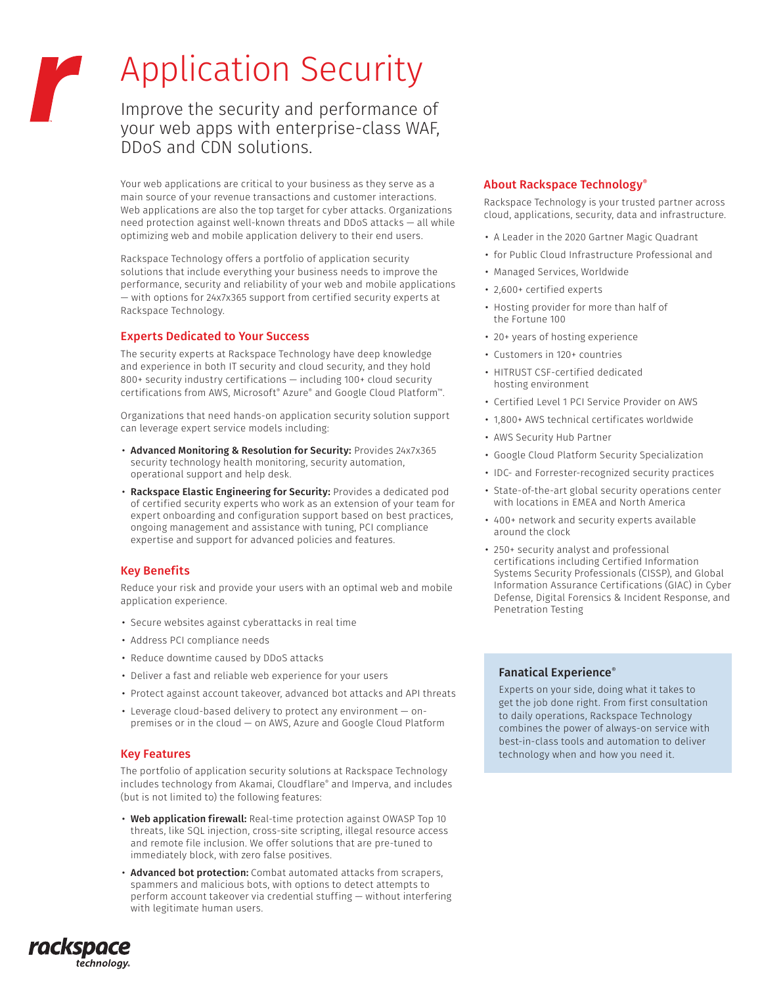# Application Security

Improve the security and performance of your web apps with enterprise-class WAF, DDoS and CDN solutions.

Your web applications are critical to your business as they serve as a main source of your revenue transactions and customer interactions. Web applications are also the top target for cyber attacks. Organizations need protection against well-known threats and DDoS attacks — all while optimizing web and mobile application delivery to their end users.

Rackspace Technology offers a portfolio of application security solutions that include everything your business needs to improve the performance, security and reliability of your web and mobile applications — with options for 24x7x365 support from certified security experts at Rackspace Technology.

## Experts Dedicated to Your Success

The security experts at Rackspace Technology have deep knowledge and experience in both IT security and cloud security, and they hold 800+ security industry certifications — including 100+ cloud security certifications from AWS, Microsoft® Azure® and Google Cloud Platform™.

Organizations that need hands-on application security solution support can leverage expert service models including:

- Advanced Monitoring & Resolution for Security: Provides 24x7x365 security technology health monitoring, security automation, operational support and help desk.
- Rackspace Elastic Engineering for Security: Provides a dedicated pod of certified security experts who work as an extension of your team for expert onboarding and configuration support based on best practices, ongoing management and assistance with tuning, PCI compliance expertise and support for advanced policies and features.

## Key Benefits

Reduce your risk and provide your users with an optimal web and mobile application experience.

- Secure websites against cyberattacks in real time
- Address PCI compliance needs
- Reduce downtime caused by DDoS attacks
- Deliver a fast and reliable web experience for your users
- Protect against account takeover, advanced bot attacks and API threats
- Leverage cloud-based delivery to protect any environment onpremises or in the cloud — on AWS, Azure and Google Cloud Platform

## Key Features

rackspace

technology.

The portfolio of application security solutions at Rackspace Technology includes technology from Akamai, Cloudflare® and Imperva, and includes (but is not limited to) the following features:

- Web application firewall: Real-time protection against OWASP Top 10 threats, like SQL injection, cross-site scripting, illegal resource access and remote file inclusion. We offer solutions that are pre-tuned to immediately block, with zero false positives.
- Advanced bot protection: Combat automated attacks from scrapers, spammers and malicious bots, with options to detect attempts to perform account takeover via credential stuffing — without interfering with legitimate human users.

## • for Public Cloud Infrastructure Professional and

• Managed Services, Worldwide

About Rackspace Technology®

Rackspace Technology is your trusted partner across cloud, applications, security, data and infrastructure.

• A Leader in the 2020 Gartner Magic Quadrant

- 2,600+ certified experts
- Hosting provider for more than half of the Fortune 100
- 20+ years of hosting experience
- Customers in 120+ countries
- HITRUST CSF-certified dedicated hosting environment
- Certified Level 1 PCI Service Provider on AWS
- 1,800+ AWS technical certificates worldwide
- AWS Security Hub Partner
- Google Cloud Platform Security Specialization
- IDC- and Forrester-recognized security practices
- State-of-the-art global security operations center with locations in EMEA and North America
- 400+ network and security experts available around the clock
- 250+ security analyst and professional certifications including Certified Information Systems Security Professionals (CISSP), and Global Information Assurance Certifications (GIAC) in Cyber Defense, Digital Forensics & Incident Response, and Penetration Testing

## Fanatical Experience®

Experts on your side, doing what it takes to get the job done right. From first consultation to daily operations, Rackspace Technology combines the power of always-on service with best-in-class tools and automation to deliver technology when and how you need it.